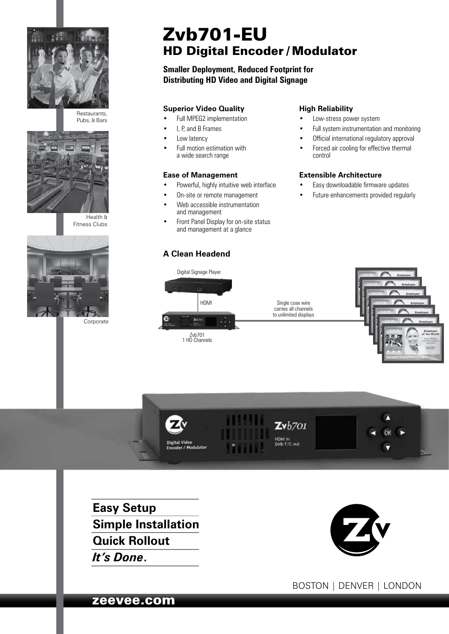

Restaurants, Pubs, & Bars



Health & Fitness Clubs



Corporate

# Zvb701-EU HD Digital Encoder / Modulator

# **Smaller Deployment, Reduced Footprint for Distributing HD Video and Digital Signage**

## **Superior Video Quality**

- Full MPEG2 implementation
- I, P, and B Frames
- Low latency
- Full motion estimation with a wide search range

#### **Ease of Management**

- Powerful, highly intuitive web interface
- On-site or remote management • Web accessible instrumentation
- and management • Front Panel Display for on-site status and management at a glance

## **A Clean Headend**

#### **High Reliability**

- Low-stress power system
- Full system instrumentation and monitoring
- Official international regulatory approval
- Forced air cooling for effective thermal control

#### **Extensible Architecture**

- Easy downloadable firmware updates
- Future enhancements provided regularly









**Easy Setup Simple Installation Quick Rollout** *It's Done***.**



BOSTON | DENVER | LONDON

zeevee.com